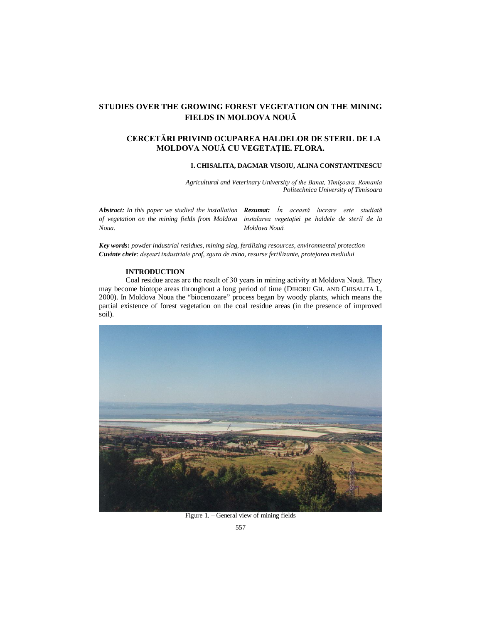## **STUDIES OVER THE GROWING FOREST VEGETATION ON THE MINING FIELDS IN MOLDOVA NOUĂ**

## **CERCETĂRI PRIVIND OCUPAREA HALDELOR DE STERIL DE LA MOLDOVA NOUĂ CU VEGETAŢIE. FLORA.**

#### **I. CHISALITA, DAGMAR VISOIU, ALINA CONSTANTINESCU**

*Agricultural and Veterinary University of the Banat, Timişoara, Romania Politechnica University of Timisoara*

*Abstract: In this paper we studied the installation Rezumat: În această lucrare este studiată of vegetation on the mining fields from Moldova instalarea vegetaţiei pe haldele de steril de la Noua. Moldova Nouă.*

*Key words***:** *powder industrial residues, mining slag, fertilizing resources, environmental protection Cuvinte cheie*: *deşeuri industriale praf, zgura de mina, resurse fertilizante, protejarea mediului*

### **INTRODUCTION**

Coal residue areas are the result of 30 years in mining activity at Moldova Nouă. They may become biotope areas throughout a long period of time (DIHORU GH. AND CHISALITA I., 2000). In Moldova Noua the "biocenozare" process began by woody plants, which means the partial existence of forest vegetation on the coal residue areas (in the presence of improved soil).



Figure 1. – General view of mining fields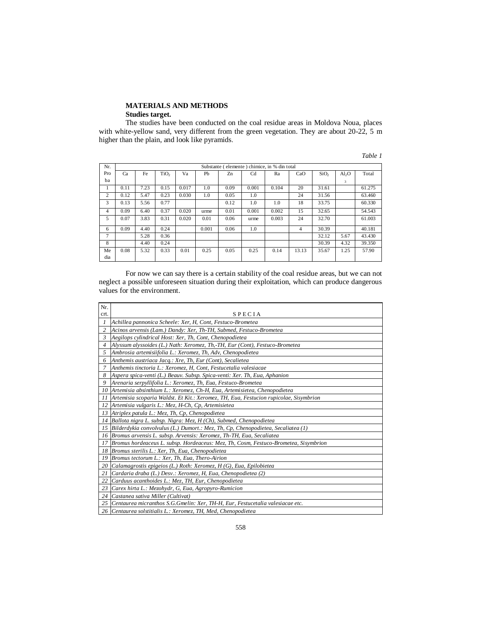# **MATERIALS AND METHODS**

#### **Studies target.**

The studies have been conducted on the coal residue areas in Moldova Noua, places with white-yellow sand, very different from the green vegetation. They are about 20-22, 5 m higher than the plain, and look like pyramids.

| Nr. | Substante (elemente) chimice, in % din total |      |                  |       |       |                |                |       |                |                  |                   |        |
|-----|----------------------------------------------|------|------------------|-------|-------|----------------|----------------|-------|----------------|------------------|-------------------|--------|
| Pro | Ca                                           | Fe   | TiO <sub>2</sub> | Va    | Pb    | Z <sub>n</sub> | C <sub>d</sub> | Ra    | CaO            | SiO <sub>2</sub> | Al <sub>2</sub> O | Total  |
| ba  |                                              |      |                  |       |       |                |                |       |                |                  | 3                 |        |
| 1   | 0.11                                         | 7.23 | 0.15             | 0.017 | 1.0   | 0.09           | 0.001          | 0.104 | 20             | 31.61            |                   | 61.275 |
| 2   | 0.12                                         | 5.47 | 0.23             | 0.030 | 1.0   | 0.05           | 1.0            |       | 24             | 31.56            |                   | 63.460 |
| 3   | 0.13                                         | 5.56 | 0.77             |       |       | 0.12           | 1.0            | 1.0   | 18             | 33.75            |                   | 60.330 |
| 4   | 0.09                                         | 6.40 | 0.37             | 0.020 | urme  | 0.01           | 0.001          | 0.002 | 15             | 32.65            |                   | 54.543 |
| 5   | 0.07                                         | 3.83 | 0.31             | 0.020 | 0.01  | 0.06           | urme           | 0.003 | 24             | 32.70            |                   | 61.003 |
| 6   | 0.09                                         | 4.40 | 0.24             |       | 0.001 | 0.06           | 1.0            |       | $\overline{4}$ | 30.39            |                   | 40.181 |
| 7   |                                              | 5.28 | 0.36             |       |       |                |                |       |                | 32.12            | 5.67              | 43.430 |
| 8   |                                              | 4.40 | 0.24             |       |       |                |                |       |                | 30.39            | 4.32              | 39.350 |
| Me  | 0.08                                         | 5.32 | 0.33             | 0.01  | 0.25  | 0.05           | 0.25           | 0.14  | 13.13          | 35.67            | 1.25              | 57.90  |
| dia |                                              |      |                  |       |       |                |                |       |                |                  |                   |        |

For now we can say there is a certain stability of the coal residue areas, but we can not neglect a possible unforeseen situation during their exploitation, which can produce dangerous values for the environment.

| Nr.            |                                                                                       |
|----------------|---------------------------------------------------------------------------------------|
| crt.           | <b>SPECIA</b>                                                                         |
| 1              | Achillea pannonica Scheele: Xer, H, Cont, Festuco-Brometea                            |
| $\overline{c}$ | Acinos arvensis (Lam.) Dandy: Xer, Th-TH, Submed, Festuco-Brometea                    |
| 3              | Aegilops cylindrical Host: Xer, Th, Cont, Chenopodietea                               |
| 4              | Alyssum alyssoides (L.) Nath: Xeromez, Th,-TH, Eur (Cont), Festuco-Brometea           |
| 5              | Ambrosia artemisiifolia L.: Xeromez, Th, Adv, Chenopodietea                           |
| 6              | Anthemis austriaca Jacq.: Xre, Th, Eur (Cont), Secalietea                             |
| 7              | Anthemis tinctoria L.: Xeromez, H, Cont, Festucetalia valesiacae                      |
| 8              | Aspera spica-venti (L.) Beauv. Subsp. Spica-venti: Xer. Th, Eua, Aphanion             |
| 9              | Arenaria serpyllifolia L.: Xeromez, Th, Eua, Festuco-Brometea                         |
| 10             | Artemisia absinthium L.: Xeromez, Ch-H, Eua, Artemisietea, Chenopodietea              |
| 11             | Artemisia scoparia Waldst. Et Kit.: Xeromez, TH, Eua, Festucion rupicolae, Sisymbrion |
| 12             | Artemisia vulgaris L.: Mez, H-Ch, Cp, Artemisietea                                    |
| 13             | Atriplex patula L.: Mez, Th, Cp, Chenopodietea                                        |
| 14             | Ballota nigra L. subsp. Nigra: Mez, H (Ch), Submed, Chenopodietea                     |
| 15             | Bilderdykia convolvulus (L.) Dumort.: Mez, Th, Cp, Chenopodietea, Secaliatea $(1)$    |
| 16             | Bromus arvensis L. subsp. Arvensis: Xeromez, Th-TH, Eua, Secaliatea                   |
| 17             | Bromus hordeaceus L. subsp. Hordeaceus: Mez, Th, Cosm, Festuco-Brometea, Sisymbrion   |
| 18             | Bromus sterilis L.: Xer, Th, Eua, Chenopodietea                                       |
| 19             | Bromus tectorum L.: Xer, Th, Eua, Thero-Airion                                        |
| 20             | Calamagrostis epigeios (L.) Roth: Xeromez, $H(G)$ , Eua, Epilobietea                  |
| 21             | Cardaria draba (L.) Desv.: Xeromez, H, Eua, Chenopodietea (2)                         |
| 22             | Carduus acanthoides L.: Mez, TH, Eur, Chenopodietea                                   |
| 23             | Carex hirta L.: Mezohydr, G, Eua, Agropyro-Rumicion                                   |
| 24             | Castanea sativa Miller (Cultivat)                                                     |
| 25             | Centaurea micranthos S.G.Gmelin: Xer, TH-H, Eur, Festucetalia valesiacae etc.         |
|                | 26   Centaurea solstitialis L.: Xeromez, TH, Med, Chenopodietea                       |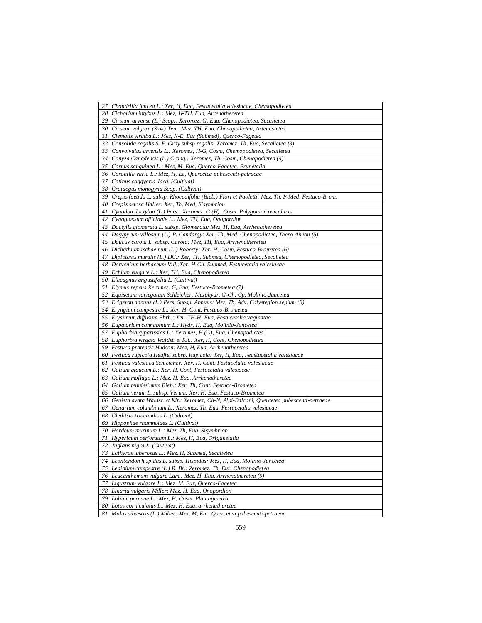|    | 27 Chondrilla juncea L.: Xer, H, Eua, Festucetalia valesiacae, Chemopodietea                                                         |
|----|--------------------------------------------------------------------------------------------------------------------------------------|
|    | 28 Cichorium intybus L.: Mez, H-TH, Eua, Arrenatheretea                                                                              |
|    | 29 Cirsium arvense (L.) Scop.: Xeromez, G, Eua, Chenopodietea, Secalietea                                                            |
|    | 30 Cirsium vulgare (Savi) Ten.: Mez, TH, Eua, Chenopodietea, Artemisietea                                                            |
| 31 | Clematis viralba L.: Mez, N-E, Eur (Submed), Querco-Fagetea                                                                          |
| 32 | Consolida regalis S. F. Gray subsp regalis: Xeromez, Th, Eua, Secalietea (3)                                                         |
| 33 | Convolvulus arvensis L.: Xeromez, H-G, Cosm, Chemopodietea, Secalietea                                                               |
|    | 34   Conyza Canadensis (L.) Cronq.: Xeromez, Th, Cosm, Chenopodietea (4)                                                             |
|    | 35   Cornus sanguinea L.: Mez, M, Eua, Querco-Fagetea, Prunetalia                                                                    |
|    | 36   Coronilla varia L.: Mez, H, Ec, Quercetea pubescenti-petraeae                                                                   |
| 37 | Cotinus coggygria Jacq. (Cultivat)                                                                                                   |
|    | 38 Crataegus monogyna Scop. (Cultivat)                                                                                               |
|    | 39 Crepis foetida L. subsp. Rhoeadifolia (Bieb.) Fiori et Paoletti: Mez, Th, P-Med, Festuco-Brom.                                    |
|    | 40 Crepis setosa Haller: Xer, Th, Med, Sisymbrion                                                                                    |
| 41 | Cynodon dactylon (L.) Pers.: Xeromez, G (H), Cosm, Polygonion avicularis                                                             |
| 42 | Cynoglossum officinale L.: Mez, TH, Eua, Onopordion                                                                                  |
|    | 43   Dactylis glomerata L. subsp. Glomerata: Mez, H, Eua, Arrhenatheretea                                                            |
|    | 44   Dasypyrum villosum (L.) P. Candargy: Xer, Th, Med, Chenopodietea, Thero-Airion (5)                                              |
|    | 45 Daucus carota L. subsp. Carota: Mez, TH, Eua, Arrhenatheretea                                                                     |
| 46 | Dichathium ischaemum $(L)$ Roberty: Xer, H, Cosm, Festuco-Brometea $(6)$                                                             |
| 47 | Diplotaxis muralis (L.) DC.: Xer, TH, Submed, Chemopodietea, Secalietea                                                              |
|    | 48 Dorycnium herbaceum Vill.: Xer, H-Ch, Submed, Festucetalia valesiacae                                                             |
|    | 49 Echium vulgare L.: Xer, TH, Eua, Chenopodietea                                                                                    |
|    | 50 Elaeagnus angustifolia L. (Cultivat)                                                                                              |
| 51 | Elymus repens Xeromez, G, Eua, Festuco-Brometea (7)                                                                                  |
| 52 | Equisetum variegatum Schleicher: Mezohydr, G-Ch, Cp, Molinio-Juncetea                                                                |
|    | 53   Erigeron annuus (L.) Pers. Subsp. Annuus: Mez, Th, Adv, Calystegion sepium (8)                                                  |
|    | 54 Eryngium campestre L.: Xer, H, Cont, Festuco-Brometea                                                                             |
|    | 55 Erysimum diffusum Ehrh.: Xer, TH-H, Eua, Festucetalia vaginatae                                                                   |
|    | 56 Eupatorium cannabinum L.: Hydr, H, Eua, Molinio-Juncetea                                                                          |
| 57 | Euphorbia cyparissias L.: Xeromez, $H(G)$ , Eua, Chenopodietea                                                                       |
|    | 58 Euphorbia virgata Waldst. et Kit.: Xer, H, Cont, Chenopodietea                                                                    |
|    | 59 Festuca pratensis Hudson: Mez, H, Eua, Arrhenatheretea                                                                            |
|    | 60   Festuca rupicola Heuffel subsp. Rupicola: Xer, H, Eua, Feastucetalia valesiacae                                                 |
| 61 | Festuca valesiaca Schleicher: Xer, H, Cont, Festucetalia valesiacae                                                                  |
| 62 | Galium glaucum L.: Xer, H, Cont, Festucetalia valesiacae                                                                             |
|    | 63 Galium mollugo L.: Mez, H, Eua, Arrhenatheretea                                                                                   |
|    | 64 Galium tenuissimum Bieb.: Xer, Th, Cont, Festuco-Brometea                                                                         |
|    | 65 Galium verum L. subsp. Verum: Xer, H, Eua, Festuco-Brometea                                                                       |
|    | 66 Genista avata Waldst. et Kit.: Xeromez, Ch-N, Alpi-Balcani, Quercetea pubescenti-petraeae                                         |
| 67 | Genarium columbinum L.: Xeromez, Th, Eua, Festucetalia valesiacae                                                                    |
|    | 68 Gleditsia triacanthos L. (Cultivat)                                                                                               |
|    | 69 Hippophae rhamnoides L. (Cultivat)                                                                                                |
|    | 70 Hordeum murinum L.: Mez, Th, Eua, Sisymbrion                                                                                      |
|    | 71 Hypericum perforatum L.: Mez, H, Eua, Origanetalia                                                                                |
| 72 | Juglans nigra L. (Cultivat)                                                                                                          |
| 73 | Lathyrus tuberosus L.: Mez, H, Submed, Secalietea                                                                                    |
|    | 74 Leontondon hispidus L. subsp. Hispidus: Mez, H. Eua, Molinio-Juncetea                                                             |
|    | 75 Lepidium campestre (L.) R. Br.: Zeromez, Th, Eur, Chenopodietea<br>76 Leucanthemum vulgare Lam.: Mez, H, Eua, Arrhenatheretea (9) |
| 77 | Ligustrum vulgare L.: Mez, M, Eur, Querco-Fagetea                                                                                    |
|    | 78 Linaria vulgaris Miller: Mez, H, Eua, Onopordion                                                                                  |
|    | 79 Lolium perenne L.: Mez, H, Cosm, Plantaginetea                                                                                    |
|    | 80 Lotus corniculatus L.: Mez, H, Eua, arrhenatheretea                                                                               |
|    | 81 Malus silvestris (L.) Miller: Mez, M, Eur, Quercetea pubescenti-petraeae                                                          |
|    |                                                                                                                                      |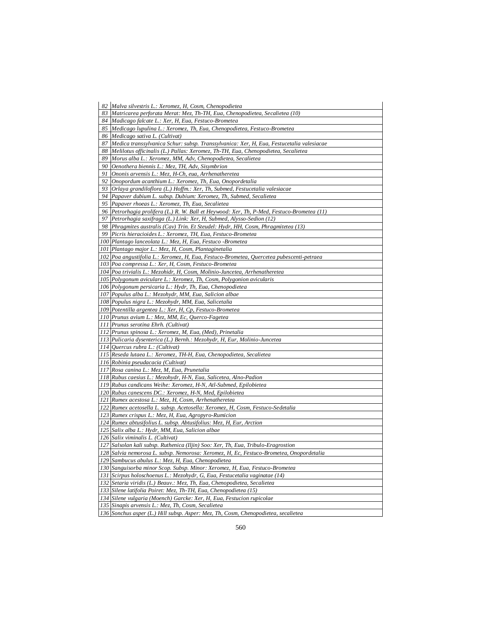| 82<br>Malva silvestris L.: Xeromez, H, Cosm, Chenopodietea                                     |
|------------------------------------------------------------------------------------------------|
| 83   Matricarea perforata Merat: Mez, Th-TH, Eua, Chenopodietea, Secalietea (10)               |
| 84   Madicago falcate L.: Xer, H, Eua, Festuco-Brometea                                        |
| Medicago lupulina L.: Xeromez, Th, Eua, Chenopodietea, Festuco-Brometea<br>85                  |
| Medicago sativa L. (Cultivat)<br>86                                                            |
| 87<br>Medica transsylvanica Schur: subsp. Transsylvanica: Xer, H, Eua, Festucetalia valesiacae |
| 88<br>Melilotus officinalis (L.) Pallas: Xeromez, Th-TH, Eua, Chenopodietea, Secalietea        |
| 89<br>Morus alba L.: Xeromez, MM, Adv, Chenopodietea, Secalietea                               |
| Oenothera biennis L.: Mez, TH, Adv, Sisymbrion<br>90                                           |
| 91<br>Ononis arvensis L.: Mez, H-Ch, eua, Arrhenatheretea                                      |
| 92<br>Onopordum acanthium L.: Xeromez, Th, Eua, Onopordetalia                                  |
| 93   Orlaya grandiloflora (L.) Hoffm.: Xer, Th, Submed, Festucetalia valesiacae                |
| 94<br>Papaver dubium L. subsp. Dubium: Xeromez, Th, Submed, Secalietea                         |
| Papaver rhoeas L.: Xeromez, Th, Eua, Secalietea<br>95                                          |
| Petrorhagia prolifera (L.) R. W. Ball et Heywood: Xer, Th, P-Med, Festuco-Brometea (11)<br>96  |
| 97<br>Petrorhagia saxifraga (L.) Link: Xer, H, Submed, Alysso-Sedion (12)                      |
| 98<br>Phragmites australis (Cav) Trin. Et Steudel: Hydr, HH, Cosm, Phragmitetea (13)           |
| 99<br>Picris hieracioides L.: Xeromez, TH, Eua, Festuco-Brometea                               |
| 100   Plantago lanceolata L.: Mez, H, Eua, Festuco - Brometea                                  |
| 101 Plantago major L.: Mez, H, Cosm, Plantaginetalia                                           |
| 102   Poa angustifolia L.: Xeromez, H, Eua, Festuco-Brometea, Quercetea pubescenti-petraea     |
| 103 Poa compressa L.: Xer, H, Cosm, Festuco-Brometea                                           |
| 104   Poa trivialis L.: Mezohidr, H, Cosm, Molinio-Juncetea, Arrhenatheretea                   |
| 105 Polygonum aviculare L.: Xeromez, Th, Cosm, Polygonion avicularis                           |
| 106 Polygonum persicaria L.: Hydr, Th, Eua, Chenopodietea                                      |
| 107 Populus alba L.: Mezohydr, MM, Eua, Salicion albae                                         |
| 108 Populus nigra L.: Mezohydr, MM, Eua, Salicetalia                                           |
| 109   Potentilla argentea L.: Xer, H, Cp, Festuco-Brometea                                     |
| 110 Prunus avium L.: Mez, MM, Ec, Querco-Fagetea                                               |
| 111 Prunus serotina Ehrh. (Cultivat)                                                           |
| 112 Prunus spinosa L.: Xeromez, M, Eua, (Med), Prinetalia                                      |
| 113   Pulicaria dysenterica (L.) Bernh.: Mezohydr, H, Eur, Molinio-Juncetea                    |
| 114   Quercus rubra L.: (Cultivat)                                                             |
| 115 Reseda lutaea L.: Xeromez, TH-H, Eua, Chenopodietea, Secalietea                            |
| 116 Robinia pseudacacia (Cultivat)                                                             |
| 117 Rosa canina L.: Mez, M, Eua, Prunetalia                                                    |
| 118 Rubus caesius L.: Mezohydr, H-N, Eua, Salicetea, Alno-Padion                               |
| 119 Rubus candicans Weihe: Xeromez, H-N, Atl-Submed, Epilobietea                               |
| 120 Rubus canescens DC.: Xeromez, H-N, Med, Epilobietea                                        |
| 121 Rumex acestosa L.: Mez, H, Cosm, Arrhenatheretea                                           |
| 122 Rumex acetosella L. subsp. Acetosella: Xeromez, H, Cosm, Festuco-Sedetalia                 |
| 123 Rumex crispus L.: Mez, H, Eua, Agropyro-Rumicion                                           |
| 124 Rumex abtusifolius L. subsp. Abtusifolius: Mez, H, Eur, Arction                            |
| 125 Salix alba L.: Hydr, MM, Eua, Salicion albae                                               |
| 126 Salix viminalis L. (Cultivat)                                                              |
| 127   Salsolan kali subsp. Ruthenica (Iljin) Soo: Xer, Th, Eua, Tribulo-Eragrostion            |
| 128   Salvia nemorosa L. subsp. Nemorosa: Xeromez, H, Ec, Festuco-Brometea, Onopordetalia      |
| 129 Sambucus abulus L.: Mez, H, Eua, Chenopodietea                                             |
| 130 Sanguisorba minor Scop. Subsp. Minor: Xeromez, H, Eua, Festuco-Brometea                    |
| 131 Scirpus holoschoenus L.: Mezohydr, G, Eua, Festucetalia vaginatae (14)                     |
| 132 Setaria viridis (L.) Beauv.: Mez, Th, Eua, Chenopodietea, Secalietea                       |
| 133 Silene latifolia Poiret: Mez, Th-TH, Eua, Chenopodietea (15)                               |
| 134 Silene vulgaria (Moench) Garcke: Xer, H, Eua, Festucion rupicolae                          |
| 135 Sinapis arvensis L.: Mez, Th, Cosm, Secalietea                                             |
| 136 Sonchus asper (L.) Hill subsp. Asper: Mez, Th, Cosm, Chenopodietea, secalietea             |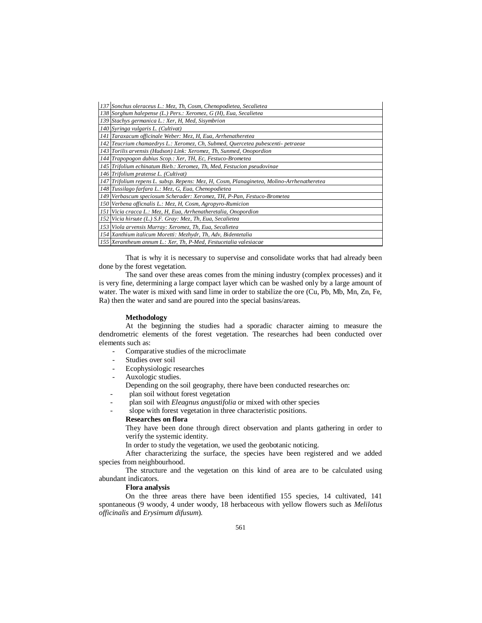| 137 Sonchus oleraceus L.: Mez, Th, Cosm, Chenopodietea, Secalietea                        |
|-------------------------------------------------------------------------------------------|
| 138 Sorghum halepense (L.) Pers.: Xeromez, G (H), Eua, Secalietea                         |
| 139 Stachys germanica L.: Xer, H, Med, Sisymbrion                                         |
| 140 Syringa vulgaris L. (Cultivat)                                                        |
| 141 Taraxacum officinale Weber: Mez, H, Eua, Arrhenatheretea                              |
| 142 Teucrium chamaedrys L.: Xeromez, Ch, Submed, Quercetea pubescenti- petraeae           |
| 143 Torilis arvensis (Hudson) Link: Xeromez, Th, Sunmed, Onopordion                       |
| 144 Trapopogon dubius Scop.: Xer, TH, Ec, Festuco-Brometea                                |
| 145   Trifolium echinatum Bieb.: Xeromez, Th, Med, Festucion pseudovinae                  |
| 146 Trifolium pratense L. (Cultivat)                                                      |
| 147 Trifolium repens L. subsp. Repens: Mez, H, Cosm, Planaginetea, Molino-Arrhenatheretea |
| 148 Tussilago farfara L.: Mez, G, Eua, Chenopodietea                                      |
| 149   Verbascum speciosum Scherader: Xeromez, TH, P-Pan, Festuco-Brometea                 |
| 150 Verbena officnalis L.: Mez, H, Cosm, Agropyro-Rumicion                                |
| 151 Vicia cracca L.: Mez, H, Eua, Arrhenatheretalia, Onopordion                           |
| 152 Vicia hirsute (L.) S.F. Gray: Mez, Th, Eua, Secalietea                                |
| 153 Viola arvensis Murray: Xeromez, Th, Eua, Secalietea                                   |
| 154 Xanthium italicum Moretti: Mezhydr, Th, Adv, Bidentetalia                             |
| 155   Xerantheum annum L.: Xer, Th, P-Med, Festucetalia valesiacae                        |

That is why it is necessary to supervise and consolidate works that had already been done by the forest vegetation.

The sand over these areas comes from the mining industry (complex processes) and it is very fine, determining a large compact layer which can be washed only by a large amount of water. The water is mixed with sand lime in order to stabilize the ore (Cu, Pb, Mb, Mn, Zn, Fe, Ra) then the water and sand are poured into the special basins/areas.

#### **Methodology**

At the beginning the studies had a sporadic character aiming to measure the dendrometric elements of the forest vegetation. The researches had been conducted over elements such as:

- Comparative studies of the microclimate
- Studies over soil
- Ecophysiologic researches
- Auxologic studies.
- Depending on the soil geography, there have been conducted researches on:
- plan soil without forest vegetation
- plan soil with *Eleagnus angustifolia* or mixed with other species
- slope with forest vegetation in three characteristic positions.

## **Researches on flora**

They have been done through direct observation and plants gathering in order to verify the systemic identity.

In order to study the vegetation, we used the geobotanic noticing.

After characterizing the surface, the species have been registered and we added species from neighbourhood.

The structure and the vegetation on this kind of area are to be calculated using abundant indicators.

#### **Flora analysis**

On the three areas there have been identified 155 species, 14 cultivated, 141 spontaneous (9 woody, 4 under woody, 18 herbaceous with yellow flowers such as *Melilotus officinalis* and *Erysimum difusum*).